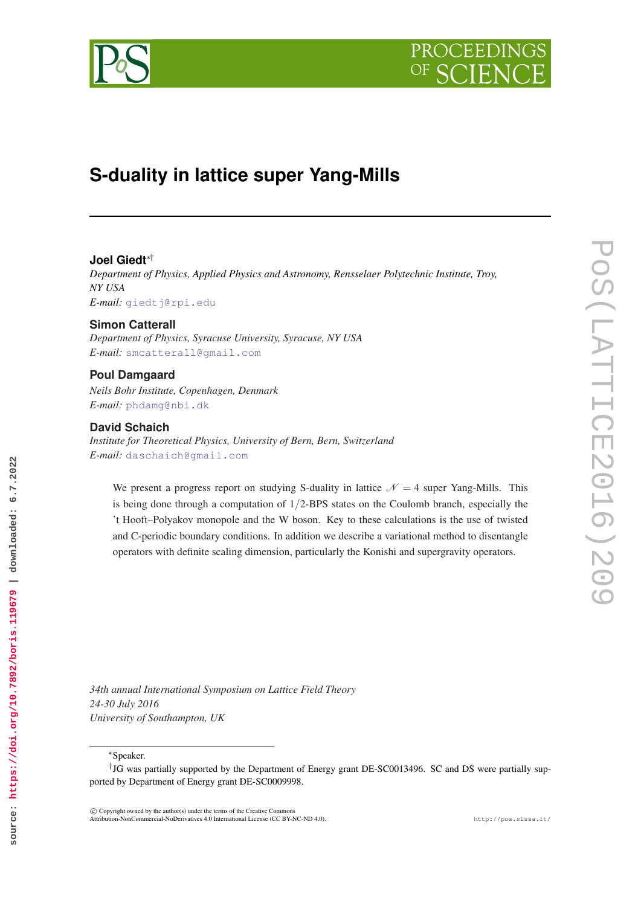

# **S-duality in lattice super Yang-Mills**

# **Joel Giedt**∗†

*Department of Physics, Applied Physics and Astronomy, Rensselaer Polytechnic Institute, Troy, NY USA E-mail:* [giedtj@rpi.edu](mailto:giedtj@rpi.edu)

# **Simon Catterall**

*Department of Physics, Syracuse University, Syracuse, NY USA E-mail:* [smcatterall@gmail.com](mailto:smcatterall@gmail.com)

## **Poul Damgaard**

*Neils Bohr Institute, Copenhagen, Denmark E-mail:* [phdamg@nbi.dk](mailto:phdamg@nbi.dk)

## **David Schaich**

*Institute for Theoretical Physics, University of Bern, Bern, Switzerland E-mail:* [daschaich@gmail.com](mailto:daschaich@gmail.com)

We present a progress report on studying S-duality in lattice  $N = 4$  super Yang-Mills. This is being done through a computation of  $1/2$ -BPS states on the Coulomb branch, especially the 't Hooft–Polyakov monopole and the W boson. Key to these calculations is the use of twisted and C-periodic boundary conditions. In addition we describe a variational method to disentangle operators with definite scaling dimension, particularly the Konishi and supergravity operators.

*34th annual International Symposium on Lattice Field Theory 24-30 July 2016 University of Southampton, UK*

<sup>∗</sup>Speaker.

**source: https://doi.org/10.7892/boris.119679 | downloaded: 6.7.2022**

source: https://doi.org/10.7892/boris.119679 | downloaded: 6.7.2022

 $\overline{c}$  Copyright owned by the author(s) under the terms of the Creative Commons Attribution-NonCommercial-NoDerivatives 4.0 International License (CC BY-NC-ND 4.0). http://pos.sissa.it/

<sup>†</sup> JG was partially supported by the Department of Energy grant DE-SC0013496. SC and DS were partially supported by Department of Energy grant DE-SC0009998.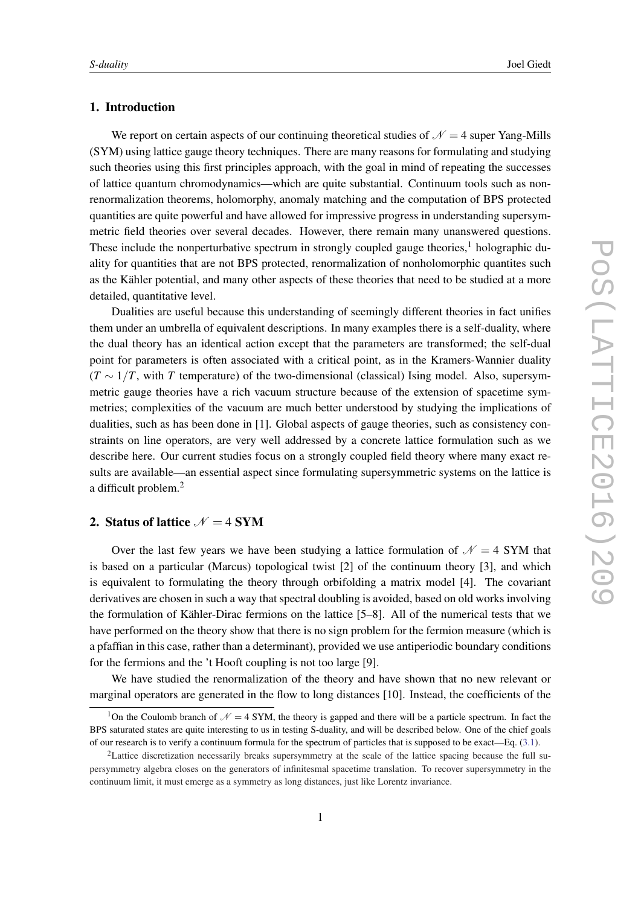# 1. Introduction

We report on certain aspects of our continuing theoretical studies of  $\mathcal{N} = 4$  super Yang-Mills (SYM) using lattice gauge theory techniques. There are many reasons for formulating and studying such theories using this first principles approach, with the goal in mind of repeating the successes of lattice quantum chromodynamics—which are quite substantial. Continuum tools such as nonrenormalization theorems, holomorphy, anomaly matching and the computation of BPS protected quantities are quite powerful and have allowed for impressive progress in understanding supersymmetric field theories over several decades. However, there remain many unanswered questions. These include the nonperturbative spectrum in strongly coupled gauge theories,<sup>1</sup> holographic duality for quantities that are not BPS protected, renormalization of nonholomorphic quantites such as the Kähler potential, and many other aspects of these theories that need to be studied at a more detailed, quantitative level.

Dualities are useful because this understanding of seemingly different theories in fact unifies them under an umbrella of equivalent descriptions. In many examples there is a self-duality, where the dual theory has an identical action except that the parameters are transformed; the self-dual point for parameters is often associated with a critical point, as in the Kramers-Wannier duality  $(T \sim 1/T$ , with *T* temperature) of the two-dimensional (classical) Ising model. Also, supersymmetric gauge theories have a rich vacuum structure because of the extension of spacetime symmetries; complexities of the vacuum are much better understood by studying the implications of dualities, such as has been done in [1]. Global aspects of gauge theories, such as consistency constraints on line operators, are very well addressed by a concrete lattice formulation such as we describe here. Our current studies focus on a strongly coupled field theory where many exact results are available—an essential aspect since formulating supersymmetric systems on the lattice is a difficult problem.<sup>2</sup>

# 2. Status of lattice  $\mathcal{N} = 4$  SYM

Over the last few years we have been studying a lattice formulation of  $\mathcal{N} = 4$  SYM that is based on a particular (Marcus) topological twist [2] of the continuum theory [3], and which is equivalent to formulating the theory through orbifolding a matrix model [4]. The covariant derivatives are chosen in such a way that spectral doubling is avoided, based on old works involving the formulation of Kähler-Dirac fermions on the lattice [5–8]. All of the numerical tests that we have performed on the theory show that there is no sign problem for the fermion measure (which is a pfaffian in this case, rather than a determinant), provided we use antiperiodic boundary conditions for the fermions and the 't Hooft coupling is not too large [9].

We have studied the renormalization of the theory and have shown that no new relevant or marginal operators are generated in the flow to long distances [10]. Instead, the coefficients of the

<sup>&</sup>lt;sup>1</sup>On the Coulomb branch of  $\mathcal{N} = 4$  SYM, the theory is gapped and there will be a particle spectrum. In fact the BPS saturated states are quite interesting to us in testing S-duality, and will be described below. One of the chief goals of our research is to verify a continuum formula for the spectrum of particles that is supposed to be exact—Eq. (3.1).

<sup>&</sup>lt;sup>2</sup>Lattice discretization necessarily breaks supersymmetry at the scale of the lattice spacing because the full supersymmetry algebra closes on the generators of infinitesmal spacetime translation. To recover supersymmetry in the continuum limit, it must emerge as a symmetry as long distances, just like Lorentz invariance.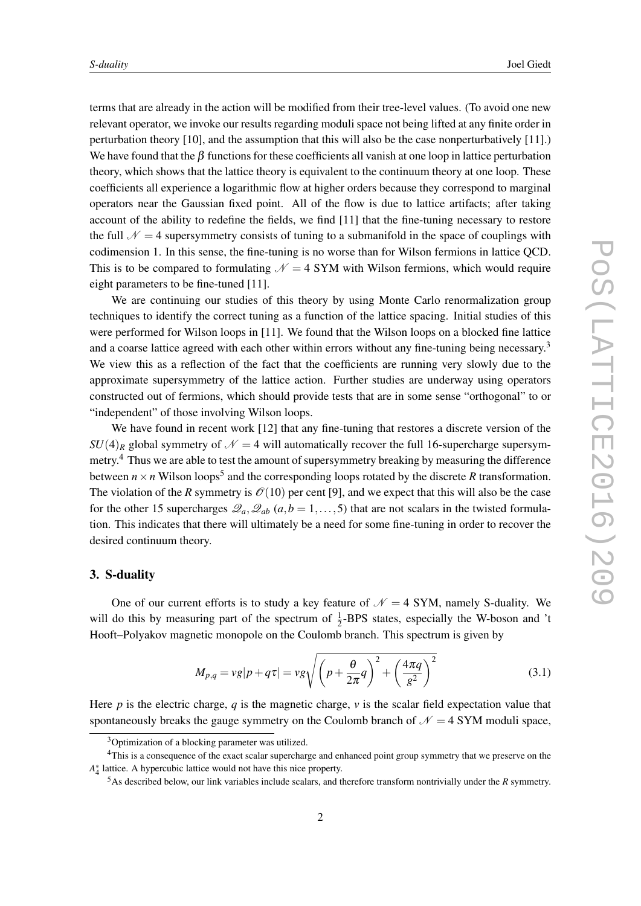terms that are already in the action will be modified from their tree-level values. (To avoid one new relevant operator, we invoke our results regarding moduli space not being lifted at any finite order in perturbation theory [10], and the assumption that this will also be the case nonperturbatively [11].) We have found that the  $\beta$  functions for these coefficients all vanish at one loop in lattice perturbation theory, which shows that the lattice theory is equivalent to the continuum theory at one loop. These coefficients all experience a logarithmic flow at higher orders because they correspond to marginal operators near the Gaussian fixed point. All of the flow is due to lattice artifacts; after taking account of the ability to redefine the fields, we find [11] that the fine-tuning necessary to restore the full  $\mathcal{N} = 4$  supersymmetry consists of tuning to a submanifold in the space of couplings with codimension 1. In this sense, the fine-tuning is no worse than for Wilson fermions in lattice QCD. This is to be compared to formulating  $\mathcal{N} = 4$  SYM with Wilson fermions, which would require eight parameters to be fine-tuned [11].

We are continuing our studies of this theory by using Monte Carlo renormalization group techniques to identify the correct tuning as a function of the lattice spacing. Initial studies of this were performed for Wilson loops in [11]. We found that the Wilson loops on a blocked fine lattice and a coarse lattice agreed with each other within errors without any fine-tuning being necessary.<sup>3</sup> We view this as a reflection of the fact that the coefficients are running very slowly due to the approximate supersymmetry of the lattice action. Further studies are underway using operators constructed out of fermions, which should provide tests that are in some sense "orthogonal" to or "independent" of those involving Wilson loops.

We have found in recent work [12] that any fine-tuning that restores a discrete version of the  $SU(4)_R$  global symmetry of  $\mathcal{N}=4$  will automatically recover the full 16-supercharge supersymmetry.<sup>4</sup> Thus we are able to test the amount of supersymmetry breaking by measuring the difference between  $n \times n$  Wilson loops<sup>5</sup> and the corresponding loops rotated by the discrete R transformation. The violation of the *R* symmetry is  $\mathcal{O}(10)$  per cent [9], and we expect that this will also be the case for the other 15 supercharges  $\mathcal{Q}_a, \mathcal{Q}_{ab}$  ( $a, b = 1, \ldots, 5$ ) that are not scalars in the twisted formulation. This indicates that there will ultimately be a need for some fine-tuning in order to recover the desired continuum theory.

# 3. S-duality

One of our current efforts is to study a key feature of  $\mathcal{N} = 4$  SYM, namely S-duality. We will do this by measuring part of the spectrum of  $\frac{1}{2}$ -BPS states, especially the W-boson and 't Hooft–Polyakov magnetic monopole on the Coulomb branch. This spectrum is given by

$$
M_{p,q} = v g|p + q\tau| = v g \sqrt{\left(p + \frac{\theta}{2\pi} q\right)^2 + \left(\frac{4\pi q}{g^2}\right)^2}
$$
(3.1)

Here  $p$  is the electric charge,  $q$  is the magnetic charge,  $v$  is the scalar field expectation value that spontaneously breaks the gauge symmetry on the Coulomb branch of  $\mathcal{N} = 4$  SYM moduli space,

<sup>&</sup>lt;sup>3</sup>Optimization of a blocking parameter was utilized.

<sup>4</sup>This is a consequence of the exact scalar supercharge and enhanced point group symmetry that we preserve on the *A* ∗ 4 lattice. A hypercubic lattice would not have this nice property.

<sup>5</sup>As described below, our link variables include scalars, and therefore transform nontrivially under the *R* symmetry.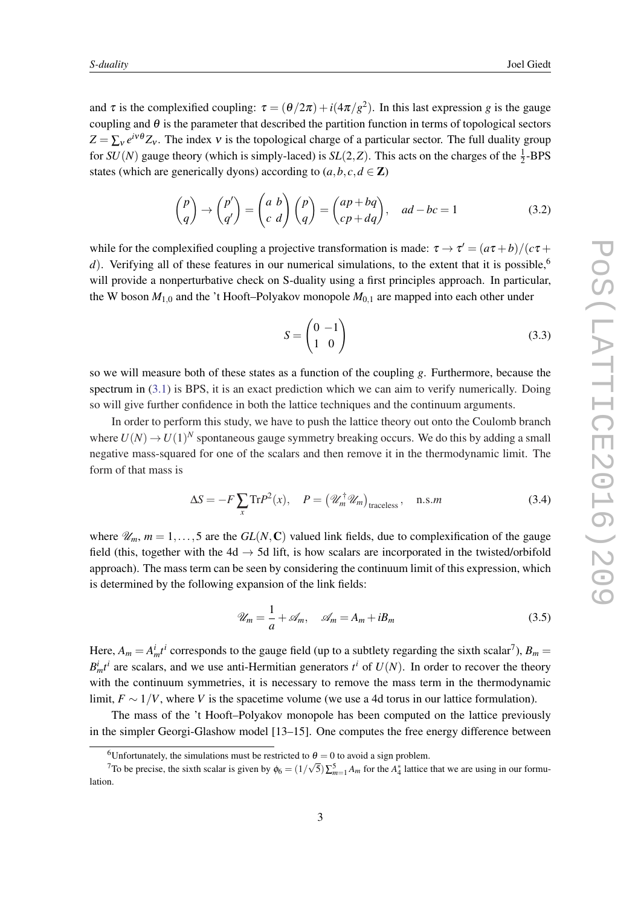and  $\tau$  is the complexified coupling:  $\tau = (\theta/2\pi) + i(4\pi/g^2)$ . In this last expression *g* is the gauge coupling and  $\theta$  is the parameter that described the partition function in terms of topological sectors  $Z = \sum_{v} e^{iv\theta} Z_v$ . The index v is the topological charge of a particular sector. The full duality group for  $SU(N)$  gauge theory (which is simply-laced) is  $SL(2, Z)$ . This acts on the charges of the  $\frac{1}{2}$ -BPS states (which are generically dyons) according to  $(a, b, c, d \in \mathbb{Z})$ 

$$
\begin{pmatrix} p \\ q \end{pmatrix} \rightarrow \begin{pmatrix} p' \\ q' \end{pmatrix} = \begin{pmatrix} a & b \\ c & d \end{pmatrix} \begin{pmatrix} p \\ q \end{pmatrix} = \begin{pmatrix} ap + bq \\ cp + dq \end{pmatrix}, \quad ad - bc = 1 \tag{3.2}
$$

while for the complexified coupling a projective transformation is made:  $\tau \to \tau' = (a\tau + b)/(c\tau + b)$ *d*). Verifying all of these features in our numerical simulations, to the extent that it is possible,<sup>6</sup> will provide a nonperturbative check on S-duality using a first principles approach. In particular, the W boson  $M_{1,0}$  and the 't Hooft–Polyakov monopole  $M_{0,1}$  are mapped into each other under

$$
S = \begin{pmatrix} 0 & -1 \\ 1 & 0 \end{pmatrix} \tag{3.3}
$$

so we will measure both of these states as a function of the coupling *g*. Furthermore, because the spectrum in (3.1) is BPS, it is an exact prediction which we can aim to verify numerically. Doing so will give further confidence in both the lattice techniques and the continuum arguments.

In order to perform this study, we have to push the lattice theory out onto the Coulomb branch where  $U(N) \to U(1)^N$  spontaneous gauge symmetry breaking occurs. We do this by adding a small negative mass-squared for one of the scalars and then remove it in the thermodynamic limit. The form of that mass is

$$
\Delta S = -F \sum_{x} \text{Tr} P^{2}(x), \quad P = \left(\mathcal{U}_{m}^{\dagger} \mathcal{U}_{m}\right)_{\text{traceless}}, \quad \text{n.s.} m \tag{3.4}
$$

where  $\mathcal{U}_m$ ,  $m = 1, \ldots, 5$  are the  $GL(N, \mathbb{C})$  valued link fields, due to complexification of the gauge field (this, together with the 4d  $\rightarrow$  5d lift, is how scalars are incorporated in the twisted/orbifold approach). The mass term can be seen by considering the continuum limit of this expression, which is determined by the following expansion of the link fields:

$$
\mathcal{U}_m = \frac{1}{a} + \mathcal{A}_m, \quad \mathcal{A}_m = A_m + iB_m \tag{3.5}
$$

Here,  $A_m = A_m^i t^i$  corresponds to the gauge field (up to a subtlety regarding the sixth scalar<sup>7</sup>),  $B_m =$  $B_m^i t^i$  are scalars, and we use anti-Hermitian generators  $t^i$  of  $U(N)$ . In order to recover the theory with the continuum symmetries, it is necessary to remove the mass term in the thermodynamic limit,  $F \sim 1/V$ , where *V* is the spacetime volume (we use a 4d torus in our lattice formulation).

The mass of the 't Hooft–Polyakov monopole has been computed on the lattice previously in the simpler Georgi-Glashow model [13–15]. One computes the free energy difference between

<sup>&</sup>lt;sup>6</sup>Unfortunately, the simulations must be restricted to  $\theta = 0$  to avoid a sign problem.

To be precise, the sixth scalar is given by  $\phi_6 = (1/\sqrt{5}) \sum_{m=1}^{5} A_m$  for the  $A_4^*$  lattice that we are using in our formulation.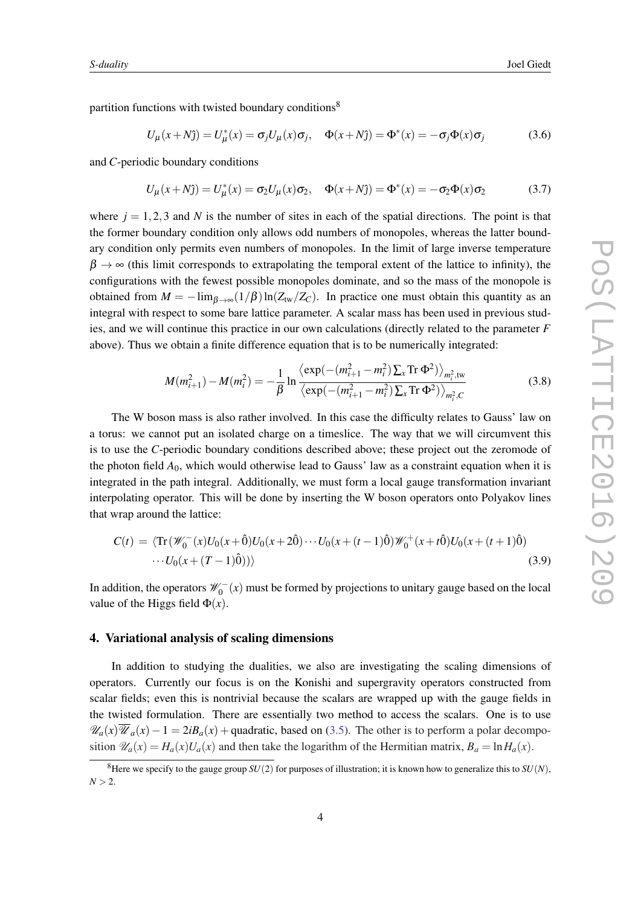partition functions with twisted boundary conditions<sup>8</sup>

$$
U_{\mu}(x+N\hat{j}) = U_{\mu}^{*}(x) = \sigma_j U_{\mu}(x)\sigma_j, \quad \Phi(x+N\hat{j}) = \Phi^{*}(x) = -\sigma_j \Phi(x)\sigma_j \tag{3.6}
$$

and *C*-periodic boundary conditions

$$
U_{\mu}(x+N\hat{j}) = U_{\mu}^{*}(x) = \sigma_{2}U_{\mu}(x)\sigma_{2}, \quad \Phi(x+N\hat{j}) = \Phi^{*}(x) = -\sigma_{2}\Phi(x)\sigma_{2}
$$
(3.7)

where  $j = 1,2,3$  and N is the number of sites in each of the spatial directions. The point is that the former boundary condition only allows odd numbers of monopoles, whereas the latter boundary condition only permits even numbers of monopoles. In the limit of large inverse temperature  $\beta \rightarrow \infty$  (this limit corresponds to extrapolating the temporal extent of the lattice to infinity), the configurations with the fewest possible monopoles dominate, and so the mass of the monopole is obtained from  $M = -\lim_{\beta \to \infty} (1/\beta) \ln(Z_{\text{tw}}/Z_C)$ . In practice one must obtain this quantity as an integral with respect to some bare lattice parameter. A scalar mass has been used in previous studies, and we will continue this practice in our own calculations (directly related to the parameter *F* above). Thus we obtain a finite difference equation that is to be numerically integrated:

$$
M(m_{i+1}^2) - M(m_i^2) = -\frac{1}{\beta} \ln \frac{\langle \exp(-(m_{i+1}^2 - m_i^2) \sum_x \text{Tr } \Phi^2) \rangle_{m_i^2, \text{tw}}}{\langle \exp(-(m_{i+1}^2 - m_i^2) \sum_x \text{Tr } \Phi^2) \rangle_{m_i^2, C}}
$$
(3.8)

The W boson mass is also rather involved. In this case the difficulty relates to Gauss' law on a torus: we cannot put an isolated charge on a timeslice. The way that we will circumvent this is to use the *C*-periodic boundary conditions described above; these project out the zeromode of the photon field  $A_0$ , which would otherwise lead to Gauss' law as a constraint equation when it is integrated in the path integral. Additionally, we must form a local gauge transformation invariant interpolating operator. This will be done by inserting the W boson operators onto Polyakov lines that wrap around the lattice:

$$
C(t) = \langle \text{Tr}(\mathcal{W}_0^-(x)U_0(x+\hat{0})U_0(x+2\hat{0})\cdots U_0(x+(t-1)\hat{0})\mathcal{W}_0^+(x+t\hat{0})U_0(x+(t+1)\hat{0})\rangle
$$
  
... $U_0(x+(T-1)\hat{0}))\rangle$  (3.9)

In addition, the operators  $\mathscr{W}_0^ \chi_0^-(x)$  must be formed by projections to unitary gauge based on the local value of the Higgs field  $\Phi(x)$ .

## 4. Variational analysis of scaling dimensions

In addition to studying the dualities, we also are investigating the scaling dimensions of operators. Currently our focus is on the Konishi and supergravity operators constructed from scalar fields; even this is nontrivial because the scalars are wrapped up with the gauge fields in the twisted formulation. There are essentially two method to access the scalars. One is to use  $\mathscr{U}_a(x)\overline{\mathscr{U}}_a(x)-1=2iB_a(x)+\text{quadratic},$  based on (3.5). The other is to perform a polar decomposition  $\mathcal{U}_a(x) = H_a(x)U_a(x)$  and then take the logarithm of the Hermitian matrix,  $B_a = \ln H_a(x)$ .

<sup>&</sup>lt;sup>8</sup>Here we specify to the gauge group  $SU(2)$  for purposes of illustration; it is known how to generalize this to  $SU(N)$ ,  $N > 2$ .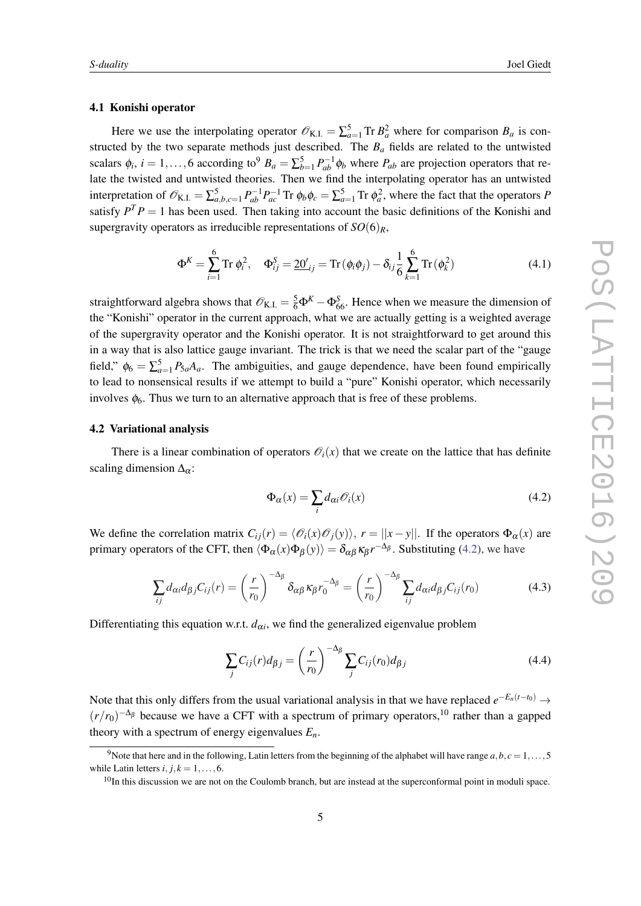# 4.1 Konishi operator

Here we use the interpolating operator  $\mathcal{O}_{K.I.} = \sum_{a=1}^{5} \text{Tr } B_a^2$  where for comparison  $B_a$  is constructed by the two separate methods just described. The  $B_a$  fields are related to the untwisted scalars  $\phi_i$ ,  $i = 1, \ldots, 6$  according to<sup>9</sup>  $B_a = \sum_{b=1}^5 P_{ab}^{-1} \phi_b$  where  $P_{ab}$  are projection operators that relate the twisted and untwisted theories. Then we find the interpolating operator has an untwisted interpretation of  $\mathscr{O}_{K,I} = \sum_{a,b,c=1}^{5} P_{ab}^{-1} P_{ac}^{-1}$  Tr  $\phi_b \phi_c = \sum_{a=1}^{5}$  Tr  $\phi_a^2$ , where the fact that the operators *P* satisfy  $P^{T}P = 1$  has been used. Then taking into account the basic definitions of the Konishi and supergravity operators as irreducible representations of  $SO(6)_R$ ,

$$
\Phi^{K} = \sum_{i=1}^{6} \text{Tr} \, \phi_{i}^{2}, \quad \Phi_{ij}^{S} = \underline{20'}_{ij} = \text{Tr} \, (\phi_{i} \phi_{j}) - \delta_{ij} \frac{1}{6} \sum_{k=1}^{6} \text{Tr} \, (\phi_{k}^{2}) \tag{4.1}
$$

straightforward algebra shows that  $\mathscr{O}_{K.L.} = \frac{5}{6} \Phi^{K} - \Phi^{S}_{66}$ . Hence when we measure the dimension of the "Konishi" operator in the current approach, what we are actually getting is a weighted average of the supergravity operator and the Konishi operator. It is not straightforward to get around this in a way that is also lattice gauge invariant. The trick is that we need the scalar part of the "gauge field,"  $\phi_6 = \sum_{a=1}^5 P_{5a}A_a$ . The ambiguities, and gauge dependence, have been found empirically to lead to nonsensical results if we attempt to build a "pure" Konishi operator, which necessarily involves  $\phi_6$ . Thus we turn to an alternative approach that is free of these problems.

### 4.2 Variational analysis

There is a linear combination of operators  $\mathcal{O}_i(x)$  that we create on the lattice that has definite scaling dimension  $\Delta_{\alpha}$ :

$$
\Phi_{\alpha}(x) = \sum_{i} d_{\alpha i} \mathcal{O}_i(x) \tag{4.2}
$$

We define the correlation matrix  $C_{ij}(r) = \langle \mathcal{O}_i(x) \mathcal{O}_j(y) \rangle$ ,  $r = ||x - y||$ . If the operators  $\Phi_{\alpha}(x)$  are primary operators of the CFT, then  $\langle \Phi_{\alpha}(x) \Phi_{\beta}(y) \rangle = \delta_{\alpha\beta} \kappa_{\beta} r^{-\Delta_{\beta}}$ . Substituting (4.2), we have

$$
\sum_{ij} d_{\alpha i} d_{\beta j} C_{ij}(r) = \left(\frac{r}{r_0}\right)^{-\Delta_{\beta}} \delta_{\alpha \beta} \kappa_{\beta} r_0^{-\Delta_{\beta}} = \left(\frac{r}{r_0}\right)^{-\Delta_{\beta}} \sum_{ij} d_{\alpha i} d_{\beta j} C_{ij}(r_0)
$$
(4.3)

Differentiating this equation w.r.t.  $d_{\alpha i}$ , we find the generalized eigenvalue problem

$$
\sum_{j} C_{ij}(r) d_{\beta j} = \left(\frac{r}{r_0}\right)^{-\Delta_{\beta}} \sum_{j} C_{ij}(r_0) d_{\beta j} \tag{4.4}
$$

Note that this only differs from the usual variational analysis in that we have replaced  $e^{-E_n(t-t_0)} \rightarrow$  $(r/r_0)^{-\Delta_\beta}$  because we have a CFT with a spectrum of primary operators,<sup>10</sup> rather than a gapped theory with a spectrum of energy eigenvalues *En*.

<sup>&</sup>lt;sup>9</sup>Note that here and in the following, Latin letters from the beginning of the alphabet will have range  $a, b, c = 1, \ldots, 5$ while Latin letters  $i, j, k = 1, \ldots, 6$ .

 $10$ In this discussion we are not on the Coulomb branch, but are instead at the superconformal point in moduli space.